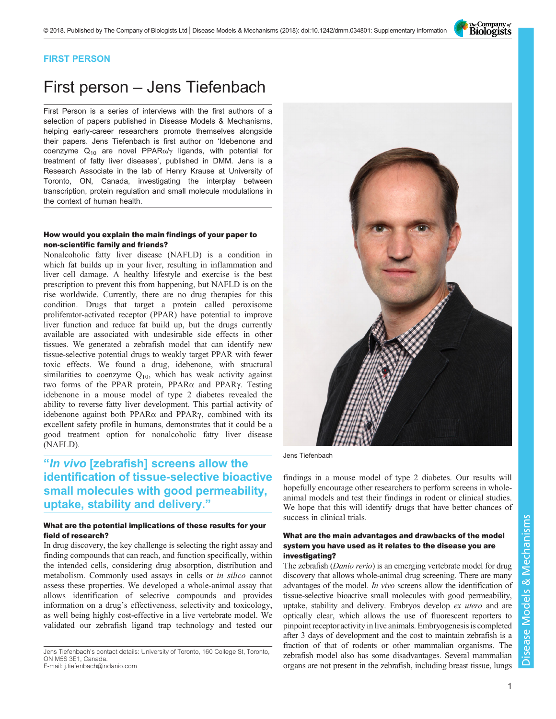The Company of<br>**Biologists** 

# FIRST PERSON

# First person – Jens Tiefenbach

First Person is a series of interviews with the first authors of a selection of papers published in Disease Models & Mechanisms, helping early-career researchers promote themselves alongside their papers. Jens Tiefenbach is first author on '[Idebenone and](#page-1-0) coenzyme  $Q_{10}$  are novel PPAR $\alpha/\gamma$  [ligands, with potential for](#page-1-0) [treatment of fatty liver diseases](#page-1-0)', published in DMM. Jens is a Research Associate in the lab of Henry Krause at University of Toronto, ON, Canada, investigating the interplay between transcription, protein regulation and small molecule modulations in the context of human health.

#### How would you explain the main findings of your paper to non-scientific family and friends?

Nonalcoholic fatty liver disease (NAFLD) is a condition in which fat builds up in your liver, resulting in inflammation and liver cell damage. A healthy lifestyle and exercise is the best prescription to prevent this from happening, but NAFLD is on the rise worldwide. Currently, there are no drug therapies for this condition. Drugs that target a protein called peroxisome proliferator-activated receptor (PPAR) have potential to improve liver function and reduce fat build up, but the drugs currently available are associated with undesirable side effects in other tissues. We generated a zebrafish model that can identify new tissue-selective potential drugs to weakly target PPAR with fewer toxic effects. We found a drug, idebenone, with structural similarities to coenzyme  $Q_{10}$ , which has weak activity against two forms of the PPAR protein, PPARα and PPARγ. Testing idebenone in a mouse model of type 2 diabetes revealed the ability to reverse fatty liver development. This partial activity of idebenone against both PPARα and PPARγ, combined with its excellent safety profile in humans, demonstrates that it could be a good treatment option for nonalcoholic fatty liver disease (NAFLD).

# "In vivo [zebrafish] screens allow the identification of tissue-selective bioactive small molecules with good permeability, uptake, stability and delivery."

#### What are the potential implications of these results for your field of research?

In drug discovery, the key challenge is selecting the right assay and finding compounds that can reach, and function specifically, within the intended cells, considering drug absorption, distribution and metabolism. Commonly used assays in cells or in silico cannot assess these properties. We developed a whole-animal assay that allows identification of selective compounds and provides information on a drug's effectiveness, selectivity and toxicology, as well being highly cost-effective in a live vertebrate model. We validated our zebrafish ligand trap technology and tested our

Jens Tiefenbach's contact details: University of Toronto, 160 College St, Toronto, ON M5S 3E1, Canada.



Jens Tiefenbach

findings in a mouse model of type 2 diabetes. Our results will hopefully encourage other researchers to perform screens in wholeanimal models and test their findings in rodent or clinical studies. We hope that this will identify drugs that have better chances of success in clinical trials.

#### What are the main advantages and drawbacks of the model system you have used as it relates to the disease you are investigating?

The zebrafish (Danio rerio) is an emerging vertebrate model for drug discovery that allows whole-animal drug screening. There are many advantages of the model. In vivo screens allow the identification of tissue-selective bioactive small molecules with good permeability, uptake, stability and delivery. Embryos develop ex utero and are optically clear, which allows the use of fluorescent reporters to pinpoint receptor activity in live animals. Embryogenesis is completed after 3 days of development and the cost to maintain zebrafish is a fraction of that of rodents or other mammalian organisms. The zebrafish model also has some disadvantages. Several mammalian organs are not present in the zebrafish, including breast tissue, lungs

E-mail: [j.tiefenbach@indanio.com](mailto:j.tiefenbach@indanio.com)